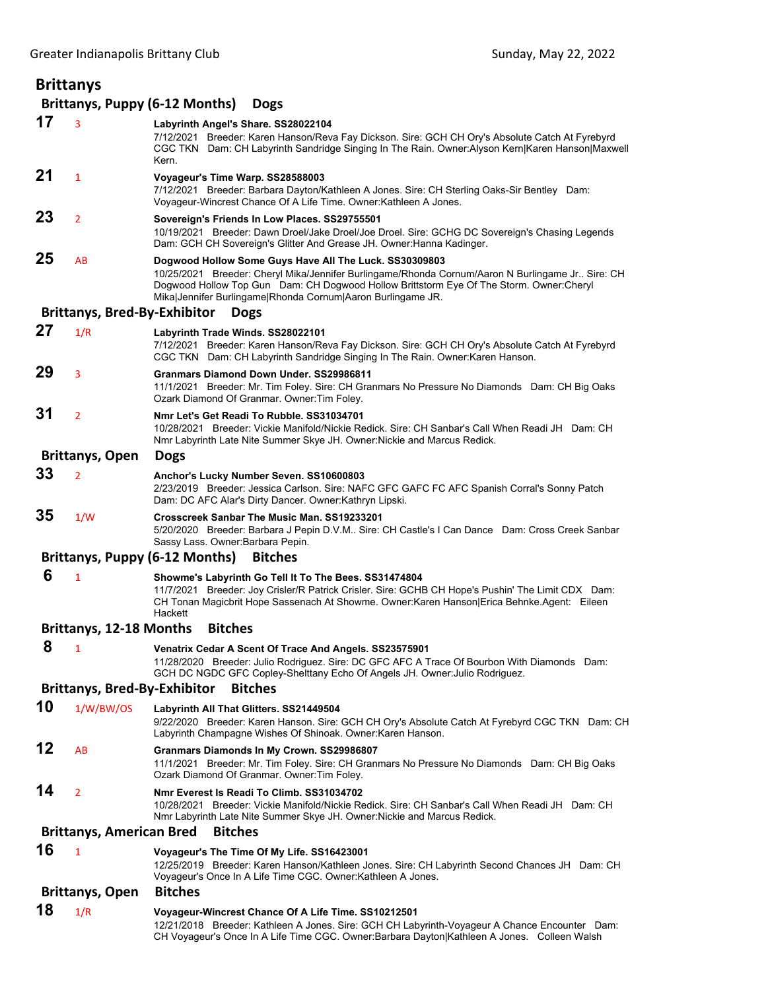## **Brittanys**

## **Brittanys, Puppy (6‐12 Months) Dogs 17** <sup>3</sup> **Labyrinth Angel's Share. SS28022104**

|                                                   |                                     | LabyThitii Angel S Onare. 0020022104<br>7/12/2021 Breeder: Karen Hanson/Reva Fay Dickson. Sire: GCH CH Ory's Absolute Catch At Fyrebyrd<br>CGC TKN Dam: CH Labyrinth Sandridge Singing In The Rain. Owner:Alyson Kern Karen Hanson Maxwell<br>Kern.                                                                    |
|---------------------------------------------------|-------------------------------------|------------------------------------------------------------------------------------------------------------------------------------------------------------------------------------------------------------------------------------------------------------------------------------------------------------------------|
| 21                                                | $\mathbf{1}$                        | Voyageur's Time Warp. SS28588003<br>7/12/2021 Breeder: Barbara Dayton/Kathleen A Jones. Sire: CH Sterling Oaks-Sir Bentley Dam:<br>Voyageur-Wincrest Chance Of A Life Time. Owner: Kathleen A Jones.                                                                                                                   |
| 23                                                | $\overline{2}$                      | Sovereign's Friends In Low Places. SS29755501<br>10/19/2021 Breeder: Dawn Droel/Jake Droel/Joe Droel. Sire: GCHG DC Sovereign's Chasing Legends<br>Dam: GCH CH Sovereign's Glitter And Grease JH. Owner: Hanna Kadinger.                                                                                               |
| 25                                                | AB                                  | Dogwood Hollow Some Guys Have All The Luck. SS30309803<br>10/25/2021 Breeder: Cheryl Mika/Jennifer Burlingame/Rhonda Cornum/Aaron N Burlingame Jr Sire: CH<br>Dogwood Hollow Top Gun  Dam: CH Dogwood Hollow Brittstorm Eye Of The Storm. Owner: Cheryl<br>Mika Jennifer Burlingame Rhonda Cornum Aaron Burlingame JR. |
|                                                   | <b>Brittanys, Bred-By-Exhibitor</b> | <b>Dogs</b>                                                                                                                                                                                                                                                                                                            |
| 27                                                | 1/R                                 | Labyrinth Trade Winds. SS28022101<br>7/12/2021 Breeder: Karen Hanson/Reva Fay Dickson. Sire: GCH CH Ory's Absolute Catch At Fyrebyrd<br>CGC TKN Dam: CH Labyrinth Sandridge Singing In The Rain. Owner: Karen Hanson.                                                                                                  |
| 29                                                | 3                                   | Granmars Diamond Down Under. SS29986811<br>11/1/2021 Breeder: Mr. Tim Foley. Sire: CH Granmars No Pressure No Diamonds Dam: CH Big Oaks<br>Ozark Diamond Of Granmar. Owner: Tim Foley.                                                                                                                                 |
| 31                                                | $\overline{2}$                      | Nmr Let's Get Readi To Rubble, SS31034701<br>10/28/2021 Breeder: Vickie Manifold/Nickie Redick, Sire: CH Sanbar's Call When Readi JH Dam: CH<br>Nmr Labyrinth Late Nite Summer Skye JH. Owner: Nickie and Marcus Redick.                                                                                               |
| <b>Brittanys, Open</b>                            |                                     | <b>Dogs</b>                                                                                                                                                                                                                                                                                                            |
| 33                                                | $\overline{2}$                      | Anchor's Lucky Number Seven. SS10600803<br>2/23/2019 Breeder: Jessica Carlson. Sire: NAFC GFC GAFC FC AFC Spanish Corral's Sonny Patch<br>Dam: DC AFC Alar's Dirty Dancer. Owner: Kathryn Lipski.                                                                                                                      |
| 35                                                | 1/W                                 | Crosscreek Sanbar The Music Man. SS19233201<br>5/20/2020 Breeder: Barbara J Pepin D.V.M Sire: CH Castle's I Can Dance Dam: Cross Creek Sanbar<br>Sassy Lass. Owner: Barbara Pepin.                                                                                                                                     |
| Brittanys, Puppy (6-12 Months)<br><b>Bitches</b>  |                                     |                                                                                                                                                                                                                                                                                                                        |
| 6                                                 | $\mathbf{1}$                        | Showme's Labyrinth Go Tell It To The Bees. SS31474804<br>11/7/2021 Breeder: Joy Crisler/R Patrick Crisler. Sire: GCHB CH Hope's Pushin' The Limit CDX Dam:<br>CH Tonan Magicbrit Hope Sassenach At Showme. Owner:Karen Hanson Erica Behnke.Agent: Eileen<br>Hackett                                                    |
| <b>Brittanys, 12-18 Months</b><br><b>Bitches</b>  |                                     |                                                                                                                                                                                                                                                                                                                        |
| 8                                                 | $\mathbf{1}$                        | Venatrix Cedar A Scent Of Trace And Angels. SS23575901<br>11/28/2020 Breeder: Julio Rodriguez. Sire: DC GFC AFC A Trace Of Bourbon With Diamonds Dam:<br>GCH DC NGDC GFC Copley-Shelttany Echo Of Angels JH. Owner: Julio Rodriguez.                                                                                   |
| Brittanys, Bred-By-Exhibitor Bitches              |                                     |                                                                                                                                                                                                                                                                                                                        |
| 10                                                | 1/W/BW/OS                           | Labyrinth All That Glitters. SS21449504<br>9/22/2020 Breeder: Karen Hanson. Sire: GCH CH Ory's Absolute Catch At Fyrebyrd CGC TKN Dam: CH<br>Labyrinth Champagne Wishes Of Shinoak. Owner: Karen Hanson.                                                                                                               |
| 12                                                | AB                                  | Granmars Diamonds In My Crown. SS29986807<br>11/1/2021 Breeder: Mr. Tim Foley. Sire: CH Granmars No Pressure No Diamonds Dam: CH Big Oaks<br>Ozark Diamond Of Granmar. Owner: Tim Foley.                                                                                                                               |
| 14                                                | $\overline{2}$                      | Nmr Everest Is Readi To Climb, SS31034702<br>10/28/2021 Breeder: Vickie Manifold/Nickie Redick. Sire: CH Sanbar's Call When Readi JH Dam: CH<br>Nmr Labyrinth Late Nite Summer Skye JH. Owner: Nickie and Marcus Redick.                                                                                               |
| <b>Brittanys, American Bred</b><br><b>Bitches</b> |                                     |                                                                                                                                                                                                                                                                                                                        |
| 16                                                | $\mathbf{1}$                        | Voyageur's The Time Of My Life. SS16423001<br>12/25/2019 Breeder: Karen Hanson/Kathleen Jones. Sire: CH Labyrinth Second Chances JH Dam: CH<br>Voyageur's Once In A Life Time CGC. Owner: Kathleen A Jones.                                                                                                            |
|                                                   | <b>Brittanys, Open</b>              | <b>Bitches</b>                                                                                                                                                                                                                                                                                                         |
| 18                                                | 1/R                                 | Voyageur-Wincrest Chance Of A Life Time. SS10212501<br>12/21/2018 Breeder: Kathleen A Jones. Sire: GCH CH Labyrinth-Voyageur A Chance Encounter Dam:<br>CH Voyageur's Once In A Life Time CGC. Owner:Barbara Dayton Kathleen A Jones. Colleen Walsh                                                                    |